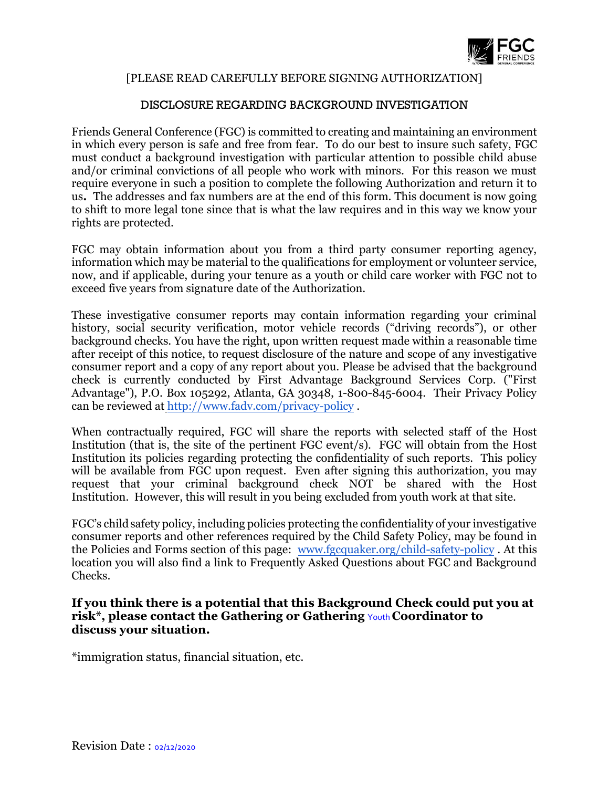

### [PLEASE READ CAREFULLY BEFORE SIGNING AUTHORIZATION]

## DISCLOSURE REGARDING BACKGROUND INVESTIGATION

Friends General Conference (FGC) is committed to creating and maintaining an environment in which every person is safe and free from fear. To do our best to insure such safety, FGC must conduct a background investigation with particular attention to possible child abuse and/or criminal convictions of all people who work with minors. For this reason we must require everyone in such a position to complete the following Authorization and return it to us**.** The addresses and fax numbers are at the end of this form. This document is now going to shift to more legal tone since that is what the law requires and in this way we know your rights are protected.

FGC may obtain information about you from a third party consumer reporting agency, information which may be material to the qualifications for employment or volunteer service, now, and if applicable, during your tenure as a youth or child care worker with FGC not to exceed five years from signature date of the Authorization.

These investigative consumer reports may contain information regarding your criminal history, social security verification, motor vehicle records ("driving records"), or other background checks. You have the right, upon written request made within a reasonable time after receipt of this notice, to request disclosure of the nature and scope of any investigative consumer report and a copy of any report about you. Please be advised that the background check is currently conducted by First Advantage Background Services Corp. ("First Advantage"), P.O. Box 105292, Atlanta, GA 30348, 1-800-845-6004. Their Privacy Policy can be reviewed a[t http://www.fadv.com/privacy-policy](http://www.fadv.com/privacy-policy) .

When contractually required, FGC will share the reports with selected staff of the Host Institution (that is, the site of the pertinent FGC event/s). FGC will obtain from the Host Institution its policies regarding protecting the confidentiality of such reports. This policy will be available from FGC upon request. Even after signing this authorization, you may request that your criminal background check NOT be shared with the Host Institution. However, this will result in you being excluded from youth work at that site.

FGC's childsafety policy, including policies protecting the confidentiality of your investigative consumer reports and other references required by the Child Safety Policy, may be found in the Policies and Forms section of this page: [www.fgcquaker.org/child-safety-policy](http://www.fgcquaker.org/child-safety-policy) . At this location you will also find a link to Frequently Asked Questions about FGC and Background Checks.

#### **If you think there is a potential that this Background Check could put you at risk\*, please contact the Gathering or Gathering** Youth **Coordinator to discuss your situation.**

\*immigration status, financial situation, etc.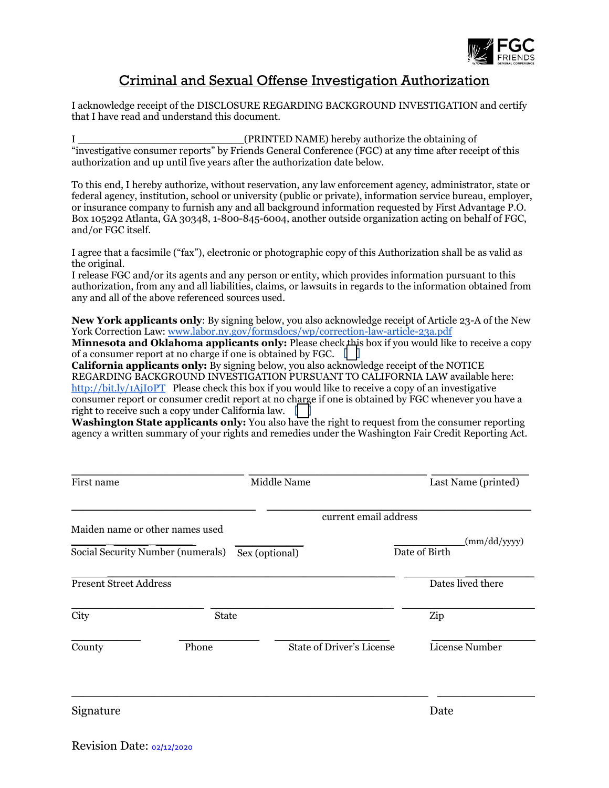

# Criminal and Sexual Offense Investigation Authorization

I acknowledge receipt of the DISCLOSURE REGARDING BACKGROUND INVESTIGATION and certify that I have read and understand this document.

I \_\_\_\_\_\_\_\_\_\_\_\_\_\_\_\_\_\_\_\_\_\_\_\_\_\_(PRINTED NAME) hereby authorize the obtaining of "investigative consumer reports" by Friends General Conference (FGC) at any time after receipt of this authorization and up until five years after the authorization date below.

To this end, I hereby authorize, without reservation, any law enforcement agency, administrator, state or federal agency, institution, school or university (public or private), information service bureau, employer, or insurance company to furnish any and all background information requested by First Advantage P.O. Box 105292 Atlanta, GA 30348, 1-800-845-6004, another outside organization acting on behalf of FGC, and/or FGC itself.

I agree that a facsimile ("fax"), electronic or photographic copy of this Authorization shall be as valid as the original.

I release FGC and/or its agents and any person or entity, which provides information pursuant to this authorization, from any and all liabilities, claims, or lawsuits in regards to the information obtained from any and all of the above referenced sources used.

**New York applicants only**: By signing below, you also acknowledge receipt of Article 23-A of the New York Correction Law: [www.labor.ny.gov/formsdocs/wp/correction-law-article-23a.pdf](http://www.labor.ny.gov/formsdocs/wp/correction-law-article-23a.pdf)

**Minnesota and Oklahoma applicants only:** Please check this box if you would like to receive a copy of a consumer report at no charge if one is obtained by FGC.  $\Box$ 

California applicants only: By signing below, you also acknowledge receipt of the NOTICE REGARDING BACKGROUND INVESTIGATION PURSUANT TO CALIFORNIA LAW available here: <http://bit.ly/1AjI0PT>Please check this box if you would like to receive a copy of an investigative consumer report or consumer credit report at no charge if one is obtained by FGC whenever you have a right to receive such a copy under California law.

**Washington State applicants only:** You also have the right to request from the consumer reporting agency a written summary of your rights and remedies under the Washington Fair Credit Reporting Act.

| First name                    |                                   | Middle Name                      | Last Name (printed)           |  |
|-------------------------------|-----------------------------------|----------------------------------|-------------------------------|--|
|                               |                                   | current email address            |                               |  |
|                               | Maiden name or other names used   |                                  |                               |  |
|                               | Social Security Number (numerals) | Sex (optional)                   | (mm/dd/yyyy)<br>Date of Birth |  |
| <b>Present Street Address</b> |                                   |                                  | Dates lived there             |  |
| City                          | <b>State</b>                      |                                  | Zip                           |  |
| County                        | Phone                             | <b>State of Driver's License</b> | License Number                |  |
| Signature                     |                                   |                                  | Date                          |  |